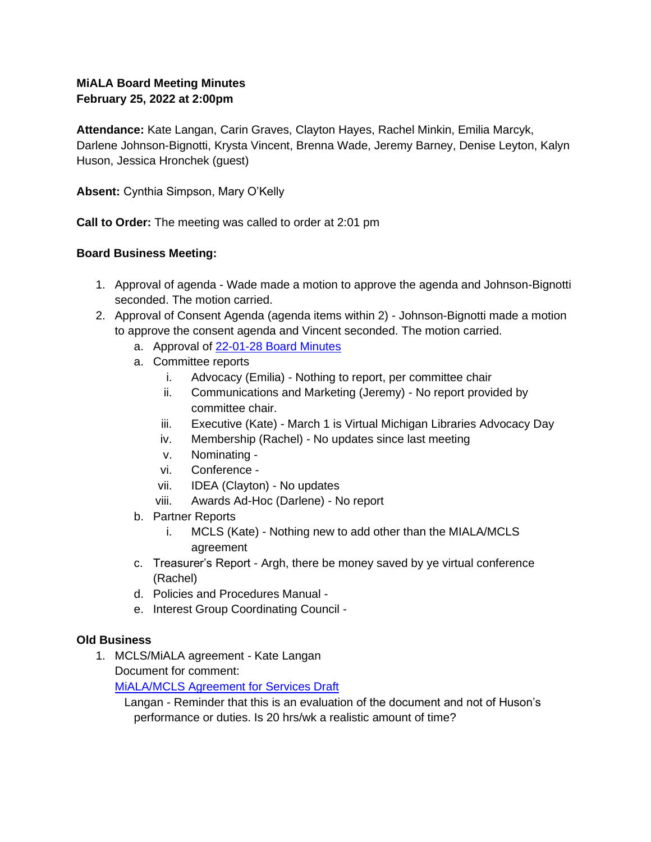# **MiALA Board Meeting Minutes February 25, 2022 at 2:00pm**

**Attendance:** Kate Langan, Carin Graves, Clayton Hayes, Rachel Minkin, Emilia Marcyk, Darlene Johnson-Bignotti, Krysta Vincent, Brenna Wade, Jeremy Barney, Denise Leyton, Kalyn Huson, Jessica Hronchek (guest)

**Absent:** Cynthia Simpson, Mary O'Kelly

**Call to Order:** The meeting was called to order at 2:01 pm

## **Board Business Meeting:**

- 1. Approval of agenda Wade made a motion to approve the agenda and Johnson-Bignotti seconded. The motion carried.
- 2. Approval of Consent Agenda (agenda items within 2) Johnson-Bignotti made a motion to approve the consent agenda and Vincent seconded. The motion carried.
	- a. Approval of 22-01-28 Board Minutes
	- a. Committee reports
		- i. Advocacy (Emilia) Nothing to report, per committee chair
		- ii. Communications and Marketing (Jeremy) No report provided by committee chair.
		- iii. Executive (Kate) March 1 is Virtual Michigan Libraries Advocacy Day
		- iv. Membership (Rachel) No updates since last meeting
		- v. Nominating -
		- vi. Conference -
		- vii. IDEA (Clayton) No updates
		- viii. Awards Ad-Hoc (Darlene) No report
	- b. Partner Reports
		- i. MCLS (Kate) Nothing new to add other than the MIALA/MCLS agreement
	- c. Treasurer's Report Argh, there be money saved by ye virtual conference (Rachel)
	- d. Policies and Procedures Manual -
	- e. Interest Group Coordinating Council -

## **Old Business**

1. MCLS/MiALA agreement - Kate Langan Document for comment:

MiALA/MCLS Agreement for Services Draft

Langan - Reminder that this is an evaluation of the document and not of Huson's performance or duties. Is 20 hrs/wk a realistic amount of time?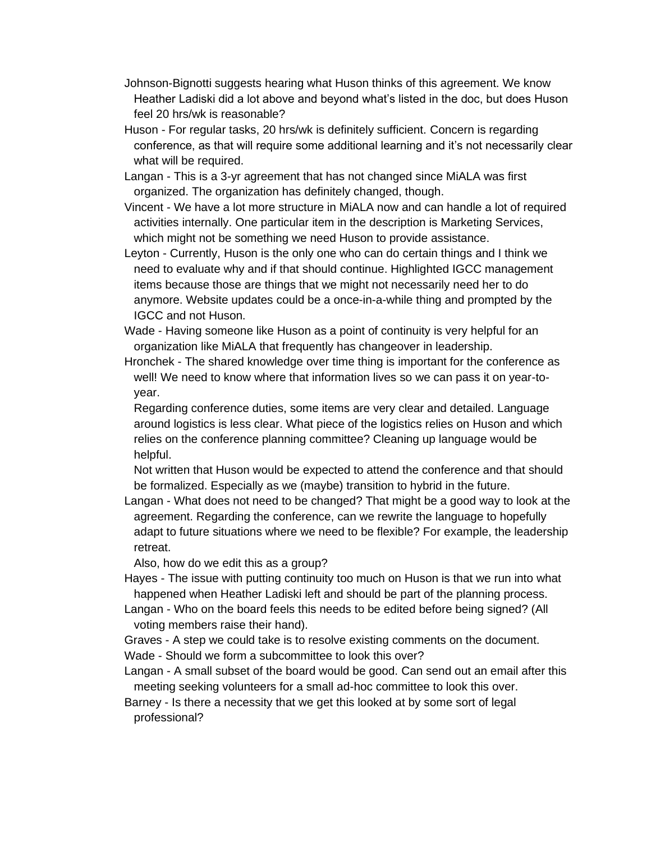- Johnson-Bignotti suggests hearing what Huson thinks of this agreement. We know Heather Ladiski did a lot above and beyond what's listed in the doc, but does Huson feel 20 hrs/wk is reasonable?
- Huson For regular tasks, 20 hrs/wk is definitely sufficient. Concern is regarding conference, as that will require some additional learning and it's not necessarily clear what will be required.
- Langan This is a 3-yr agreement that has not changed since MiALA was first organized. The organization has definitely changed, though.
- Vincent We have a lot more structure in MiALA now and can handle a lot of required activities internally. One particular item in the description is Marketing Services, which might not be something we need Huson to provide assistance.
- Leyton Currently, Huson is the only one who can do certain things and I think we need to evaluate why and if that should continue. Highlighted IGCC management items because those are things that we might not necessarily need her to do anymore. Website updates could be a once-in-a-while thing and prompted by the IGCC and not Huson.
- Wade Having someone like Huson as a point of continuity is very helpful for an organization like MiALA that frequently has changeover in leadership.
- Hronchek The shared knowledge over time thing is important for the conference as well! We need to know where that information lives so we can pass it on year-toyear.

Regarding conference duties, some items are very clear and detailed. Language around logistics is less clear. What piece of the logistics relies on Huson and which relies on the conference planning committee? Cleaning up language would be helpful.

Not written that Huson would be expected to attend the conference and that should be formalized. Especially as we (maybe) transition to hybrid in the future.

Langan - What does not need to be changed? That might be a good way to look at the agreement. Regarding the conference, can we rewrite the language to hopefully adapt to future situations where we need to be flexible? For example, the leadership retreat.

Also, how do we edit this as a group?

- Hayes The issue with putting continuity too much on Huson is that we run into what happened when Heather Ladiski left and should be part of the planning process.
- Langan Who on the board feels this needs to be edited before being signed? (All voting members raise their hand).
- Graves A step we could take is to resolve existing comments on the document. Wade - Should we form a subcommittee to look this over?
- Langan A small subset of the board would be good. Can send out an email after this meeting seeking volunteers for a small ad-hoc committee to look this over.

Barney - Is there a necessity that we get this looked at by some sort of legal professional?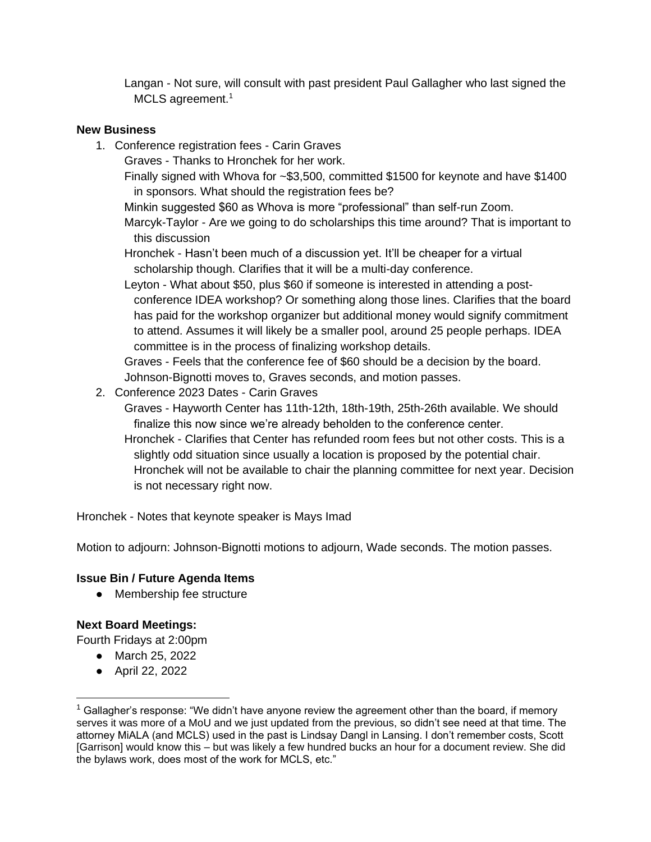Langan - Not sure, will consult with past president Paul Gallagher who last signed the MCLS agreement.<sup>1</sup>

#### **New Business**

- 1. Conference registration fees Carin Graves
	- Graves Thanks to Hronchek for her work.

Finally signed with Whova for ~\$3,500, committed \$1500 for keynote and have \$1400 in sponsors. What should the registration fees be?

Minkin suggested \$60 as Whova is more "professional" than self-run Zoom.

Marcyk-Taylor - Are we going to do scholarships this time around? That is important to this discussion

Hronchek - Hasn't been much of a discussion yet. It'll be cheaper for a virtual scholarship though. Clarifies that it will be a multi-day conference.

Leyton - What about \$50, plus \$60 if someone is interested in attending a postconference IDEA workshop? Or something along those lines. Clarifies that the board has paid for the workshop organizer but additional money would signify commitment to attend. Assumes it will likely be a smaller pool, around 25 people perhaps. IDEA committee is in the process of finalizing workshop details.

Graves - Feels that the conference fee of \$60 should be a decision by the board. Johnson-Bignotti moves to, Graves seconds, and motion passes.

2. Conference 2023 Dates - Carin Graves

Graves - Hayworth Center has 11th-12th, 18th-19th, 25th-26th available. We should finalize this now since we're already beholden to the conference center.

Hronchek - Clarifies that Center has refunded room fees but not other costs. This is a slightly odd situation since usually a location is proposed by the potential chair. Hronchek will not be available to chair the planning committee for next year. Decision is not necessary right now.

Hronchek - Notes that keynote speaker is Mays Imad

Motion to adjourn: Johnson-Bignotti motions to adjourn, Wade seconds. The motion passes.

# **Issue Bin / Future Agenda Items**

• Membership fee structure

## **Next Board Meetings:**

Fourth Fridays at 2:00pm

- March 25, 2022
- April 22, 2022

 $1$  Gallagher's response: "We didn't have anyone review the agreement other than the board, if memory serves it was more of a MoU and we just updated from the previous, so didn't see need at that time. The attorney MiALA (and MCLS) used in the past is Lindsay Dangl in Lansing. I don't remember costs, Scott [Garrison] would know this – but was likely a few hundred bucks an hour for a document review. She did the bylaws work, does most of the work for MCLS, etc."